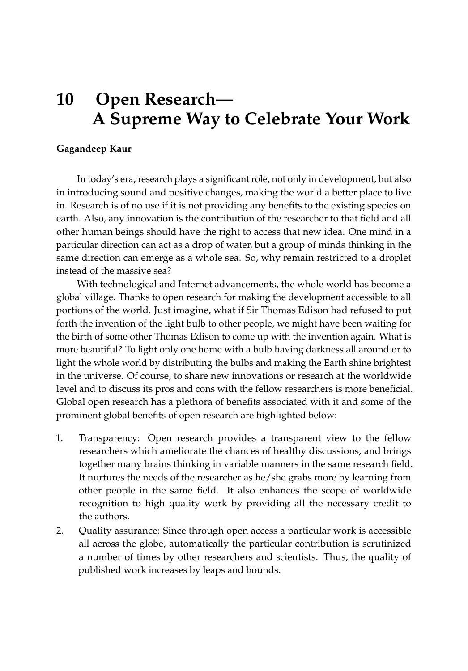## **10 Open Research— A Supreme Way to Celebrate Your Work**

## **Gagandeep Kaur**

In today's era, research plays a significant role, not only in development, but also in introducing sound and positive changes, making the world a better place to live in. Research is of no use if it is not providing any benefits to the existing species on earth. Also, any innovation is the contribution of the researcher to that field and all other human beings should have the right to access that new idea. One mind in a particular direction can act as a drop of water, but a group of minds thinking in the same direction can emerge as a whole sea. So, why remain restricted to a droplet instead of the massive sea?

With technological and Internet advancements, the whole world has become a global village. Thanks to open research for making the development accessible to all portions of the world. Just imagine, what if Sir Thomas Edison had refused to put forth the invention of the light bulb to other people, we might have been waiting for the birth of some other Thomas Edison to come up with the invention again. What is more beautiful? To light only one home with a bulb having darkness all around or to light the whole world by distributing the bulbs and making the Earth shine brightest in the universe. Of course, to share new innovations or research at the worldwide level and to discuss its pros and cons with the fellow researchers is more beneficial. Global open research has a plethora of benefits associated with it and some of the prominent global benefits of open research are highlighted below:

- 1. Transparency: Open research provides a transparent view to the fellow researchers which ameliorate the chances of healthy discussions, and brings together many brains thinking in variable manners in the same research field. It nurtures the needs of the researcher as he/she grabs more by learning from other people in the same field. It also enhances the scope of worldwide recognition to high quality work by providing all the necessary credit to the authors.
- 2. Quality assurance: Since through open access a particular work is accessible all across the globe, automatically the particular contribution is scrutinized a number of times by other researchers and scientists. Thus, the quality of published work increases by leaps and bounds.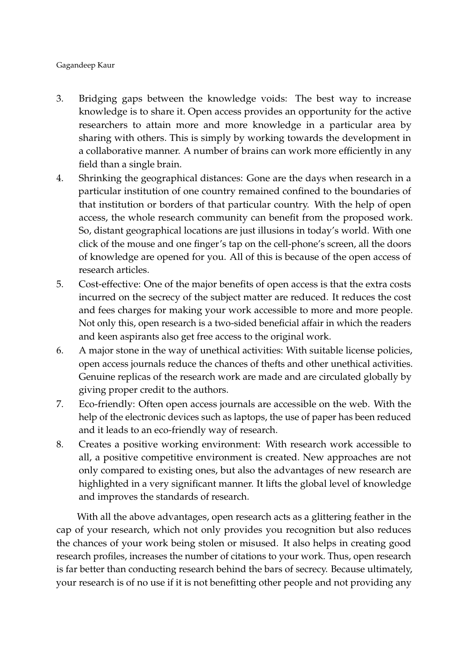## Gagandeep Kaur

- 3. Bridging gaps between the knowledge voids: The best way to increase knowledge is to share it. Open access provides an opportunity for the active researchers to attain more and more knowledge in a particular area by sharing with others. This is simply by working towards the development in a collaborative manner. A number of brains can work more efficiently in any field than a single brain.
- 4. Shrinking the geographical distances: Gone are the days when research in a particular institution of one country remained confined to the boundaries of that institution or borders of that particular country. With the help of open access, the whole research community can benefit from the proposed work. So, distant geographical locations are just illusions in today's world. With one click of the mouse and one finger's tap on the cell-phone's screen, all the doors of knowledge are opened for you. All of this is because of the open access of research articles.
- 5. Cost-effective: One of the major benefits of open access is that the extra costs incurred on the secrecy of the subject matter are reduced. It reduces the cost and fees charges for making your work accessible to more and more people. Not only this, open research is a two-sided beneficial affair in which the readers and keen aspirants also get free access to the original work.
- 6. A major stone in the way of unethical activities: With suitable license policies, open access journals reduce the chances of thefts and other unethical activities. Genuine replicas of the research work are made and are circulated globally by giving proper credit to the authors.
- 7. Eco-friendly: Often open access journals are accessible on the web. With the help of the electronic devices such as laptops, the use of paper has been reduced and it leads to an eco-friendly way of research.
- 8. Creates a positive working environment: With research work accessible to all, a positive competitive environment is created. New approaches are not only compared to existing ones, but also the advantages of new research are highlighted in a very significant manner. It lifts the global level of knowledge and improves the standards of research.

With all the above advantages, open research acts as a glittering feather in the cap of your research, which not only provides you recognition but also reduces the chances of your work being stolen or misused. It also helps in creating good research profiles, increases the number of citations to your work. Thus, open research is far better than conducting research behind the bars of secrecy. Because ultimately, your research is of no use if it is not benefitting other people and not providing any